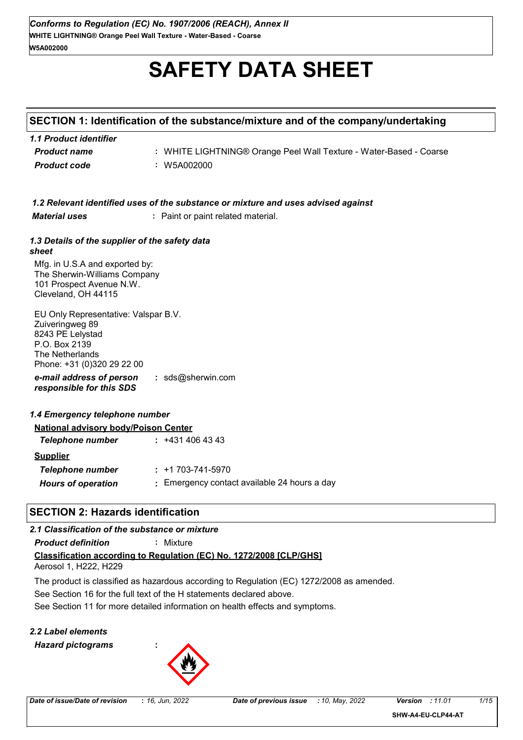# **SAFETY DATA SHEET**

## **SECTION 1: Identification of the substance/mixture and of the company/undertaking**

| 1.1 Product identifier |                                                                    |
|------------------------|--------------------------------------------------------------------|
| <b>Product name</b>    | : WHITE LIGHTNING® Orange Peel Wall Texture - Water-Based - Coarse |
| <b>Product code</b>    | : W5A002000                                                        |

| 1.2 Relevant identified uses of the substance or mixture and uses advised against |
|-----------------------------------------------------------------------------------|
|-----------------------------------------------------------------------------------|

*Material uses* **:** Paint or paint related material.

#### *1.3 Details of the supplier of the safety data sheet*

Mfg. in U.S.A and exported by: The Sherwin-Williams Company 101 Prospect Avenue N.W. Cleveland, OH 44115

*e-mail address of person responsible for this SDS* **:** sds@sherwin.com EU Only Representative: Valspar B.V. Zuiveringweg 89 8243 PE Lelystad P.O. Box 2139 The Netherlands Phone: +31 (0)320 29 22 00

## *1.4 Emergency telephone number*

| <b>National advisory body/Poison Center</b> |                                              |  |
|---------------------------------------------|----------------------------------------------|--|
| Telephone number                            | : 4314064343                                 |  |
| <b>Supplier</b>                             |                                              |  |
| Telephone number                            | $: +1703-741-5970$                           |  |
| <b>Hours of operation</b>                   | : Emergency contact available 24 hours a day |  |

## **SECTION 2: Hazards identification**

## *2.1 Classification of the substance or mixture*

*Product definition* **:** Mixture

# **Classification according to Regulation (EC) No. 1272/2008 [CLP/GHS]**

Aerosol 1, H222, H229

See Section 16 for the full text of the H statements declared above. The product is classified as hazardous according to Regulation (EC) 1272/2008 as amended.

See Section 11 for more detailed information on health effects and symptoms.

## *2.2 Label elements Hazard pictograms* **:**

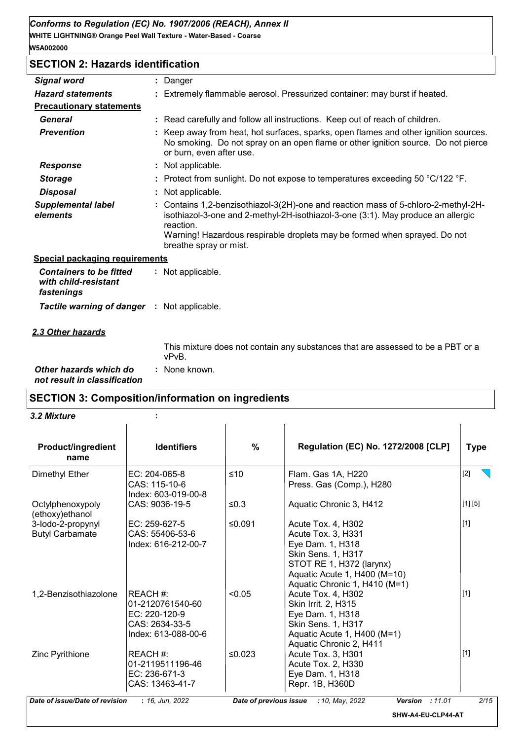## **SECTION 2: Hazards identification**

| <b>Signal word</b>                                                   | ÷ | Danger                                                                                                                                                                                                                                                                                   |  |  |
|----------------------------------------------------------------------|---|------------------------------------------------------------------------------------------------------------------------------------------------------------------------------------------------------------------------------------------------------------------------------------------|--|--|
| <b>Hazard statements</b>                                             |   | Extremely flammable aerosol. Pressurized container: may burst if heated.                                                                                                                                                                                                                 |  |  |
| <b>Precautionary statements</b>                                      |   |                                                                                                                                                                                                                                                                                          |  |  |
| <b>General</b>                                                       |   | : Read carefully and follow all instructions. Keep out of reach of children.                                                                                                                                                                                                             |  |  |
| <b>Prevention</b>                                                    |   | Keep away from heat, hot surfaces, sparks, open flames and other ignition sources.<br>No smoking. Do not spray on an open flame or other ignition source. Do not pierce<br>or burn, even after use.                                                                                      |  |  |
| <b>Response</b>                                                      |   | Not applicable.                                                                                                                                                                                                                                                                          |  |  |
| <b>Storage</b>                                                       |   | Protect from sunlight. Do not expose to temperatures exceeding 50 °C/122 °F.                                                                                                                                                                                                             |  |  |
| <b>Disposal</b>                                                      |   | Not applicable.                                                                                                                                                                                                                                                                          |  |  |
| <b>Supplemental label</b><br>elements                                |   | Contains 1,2-benzisothiazol-3(2H)-one and reaction mass of 5-chloro-2-methyl-2H-<br>isothiazol-3-one and 2-methyl-2H-isothiazol-3-one (3:1). May produce an allergic<br>reaction.<br>Warning! Hazardous respirable droplets may be formed when sprayed. Do not<br>breathe spray or mist. |  |  |
| <b>Special packaging requirements</b>                                |   |                                                                                                                                                                                                                                                                                          |  |  |
| <b>Containers to be fitted</b><br>with child-resistant<br>fastenings |   | : Not applicable.                                                                                                                                                                                                                                                                        |  |  |
| <b>Tactile warning of danger : Not applicable.</b>                   |   |                                                                                                                                                                                                                                                                                          |  |  |
| <u>2.3 Other hazards</u>                                             |   |                                                                                                                                                                                                                                                                                          |  |  |
|                                                                      |   |                                                                                                                                                                                                                                                                                          |  |  |

This mixture does not contain any substances that are assessed to be a PBT or a vPvB.

*Other hazards which do* **:** *not result in classification* : None known.

## **SECTION 3: Composition/information on ingredients**

*3.2 Mixture* **:**

| <b>Product/ingredient</b><br>name           | <b>Identifiers</b>                                                                     | %      | Regulation (EC) No. 1272/2008 [CLP]                                                                                                                                             | <b>Type</b> |
|---------------------------------------------|----------------------------------------------------------------------------------------|--------|---------------------------------------------------------------------------------------------------------------------------------------------------------------------------------|-------------|
| Dimethyl Ether                              | EC: 204-065-8<br>CAS: 115-10-6<br>Index: 603-019-00-8                                  | $≤10$  | Flam. Gas 1A, H220<br>Press. Gas (Comp.), H280                                                                                                                                  | $[2]$       |
| Octylphenoxypoly<br>(ethoxy)ethanol         | CAS: 9036-19-5                                                                         | ≤0.3   | Aquatic Chronic 3, H412                                                                                                                                                         | [1] [5]     |
| 3-lodo-2-propynyl<br><b>Butyl Carbamate</b> | EC: 259-627-5<br>CAS: 55406-53-6<br>Index: 616-212-00-7                                | ≤0.091 | Acute Tox. 4, H302<br>Acute Tox. 3, H331<br>Eye Dam. 1, H318<br>Skin Sens. 1, H317<br>STOT RE 1, H372 (larynx)<br>Aquatic Acute 1, H400 (M=10)<br>Aquatic Chronic 1, H410 (M=1) | $[1]$       |
| 1.2-Benzisothiazolone                       | REACH #:<br>01-2120761540-60<br>EC: 220-120-9<br>CAS: 2634-33-5<br>Index: 613-088-00-6 | < 0.05 | Acute Tox. 4, H302<br><b>Skin Irrit. 2, H315</b><br>Eye Dam. 1, H318<br>Skin Sens. 1, H317<br>Aquatic Acute 1, H400 (M=1)<br>Aquatic Chronic 2, H411                            | $[1]$       |
| Zinc Pyrithione                             | REACH #:<br>01-2119511196-46<br>EC: 236-671-3<br>CAS: 13463-41-7                       | ≤0.023 | Acute Tox. 3, H301<br>Acute Tox. 2, H330<br>Eye Dam. 1, H318<br>Repr. 1B, H360D                                                                                                 | [1]         |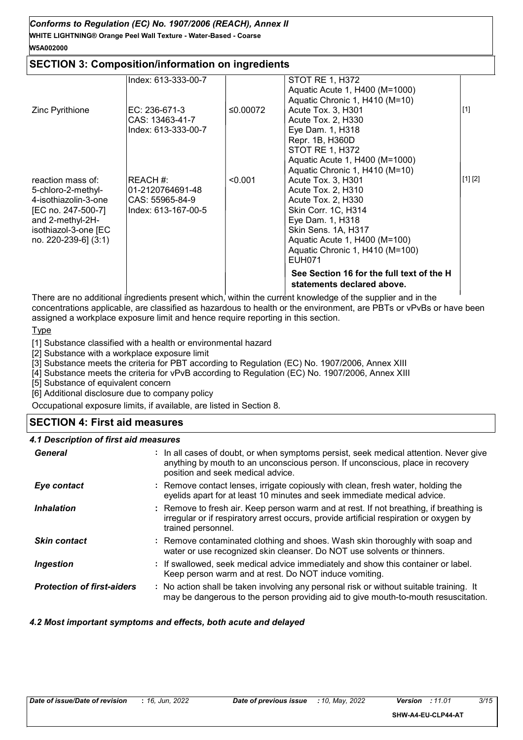## **WHITE LIGHTNING® Orange Peel Wall Texture - Water-Based - Coarse** *Conforms to Regulation (EC) No. 1907/2006 (REACH), Annex II* **W5A002000**

## **SECTION 3: Composition/information on ingredients**

|                                                                                                                                                           | Index: 613-333-00-7                                                    |          | <b>STOT RE 1, H372</b><br>Aquatic Acute 1, H400 (M=1000)                                                                                                                                                       |         |
|-----------------------------------------------------------------------------------------------------------------------------------------------------------|------------------------------------------------------------------------|----------|----------------------------------------------------------------------------------------------------------------------------------------------------------------------------------------------------------------|---------|
| Zinc Pyrithione                                                                                                                                           | EC: 236-671-3<br>CAS: 13463-41-7<br>Index: 613-333-00-7                | ≤0.00072 | Aquatic Chronic 1, H410 (M=10)<br>Acute Tox. 3, H301<br>Acute Tox. 2, H330<br>Eye Dam. 1, H318<br>Repr. 1B, H360D                                                                                              | $[1]$   |
|                                                                                                                                                           |                                                                        |          | <b>STOT RE 1, H372</b><br>Aquatic Acute 1, H400 (M=1000)<br>Aquatic Chronic 1, H410 (M=10)                                                                                                                     |         |
| reaction mass of:<br>5-chloro-2-methyl-<br>4-isothiazolin-3-one<br>[EC no. 247-500-7]<br>and 2-methyl-2H-<br>isothiazol-3-one [EC<br>no. 220-239-6] (3:1) | REACH #:<br>01-2120764691-48<br>CAS: 55965-84-9<br>Index: 613-167-00-5 | < 0.001  | Acute Tox. 3, H301<br>Acute Tox. 2, H310<br>Acute Tox. 2, H330<br>Skin Corr. 1C, H314<br>Eye Dam. 1, H318<br>Skin Sens. 1A, H317<br>Aquatic Acute 1, H400 (M=100)<br>Aquatic Chronic 1, H410 (M=100)<br>EUH071 | [1] [2] |
|                                                                                                                                                           |                                                                        |          | See Section 16 for the full text of the H<br>statements declared above.                                                                                                                                        |         |

There are no additional ingredients present which, within the current knowledge of the supplier and in the concentrations applicable, are classified as hazardous to health or the environment, are PBTs or vPvBs or have been assigned a workplace exposure limit and hence require reporting in this section.

**Type** 

[1] Substance classified with a health or environmental hazard

[2] Substance with a workplace exposure limit

[3] Substance meets the criteria for PBT according to Regulation (EC) No. 1907/2006, Annex XIII

[4] Substance meets the criteria for vPvB according to Regulation (EC) No. 1907/2006, Annex XIII

[5] Substance of equivalent concern

[6] Additional disclosure due to company policy

Occupational exposure limits, if available, are listed in Section 8.

## **SECTION 4: First aid measures**

#### *4.1 Description of first aid measures*

| General                           | : In all cases of doubt, or when symptoms persist, seek medical attention. Never give<br>anything by mouth to an unconscious person. If unconscious, place in recovery<br>position and seek medical advice. |
|-----------------------------------|-------------------------------------------------------------------------------------------------------------------------------------------------------------------------------------------------------------|
| Eye contact                       | : Remove contact lenses, irrigate copiously with clean, fresh water, holding the<br>eyelids apart for at least 10 minutes and seek immediate medical advice.                                                |
| <b>Inhalation</b>                 | : Remove to fresh air. Keep person warm and at rest. If not breathing, if breathing is<br>irregular or if respiratory arrest occurs, provide artificial respiration or oxygen by<br>trained personnel.      |
| <b>Skin contact</b>               | : Remove contaminated clothing and shoes. Wash skin thoroughly with soap and<br>water or use recognized skin cleanser. Do NOT use solvents or thinners.                                                     |
| Ingestion                         | : If swallowed, seek medical advice immediately and show this container or label.<br>Keep person warm and at rest. Do NOT induce vomiting.                                                                  |
| <b>Protection of first-aiders</b> | : No action shall be taken involving any personal risk or without suitable training. It<br>may be dangerous to the person providing aid to give mouth-to-mouth resuscitation.                               |

#### *4.2 Most important symptoms and effects, both acute and delayed*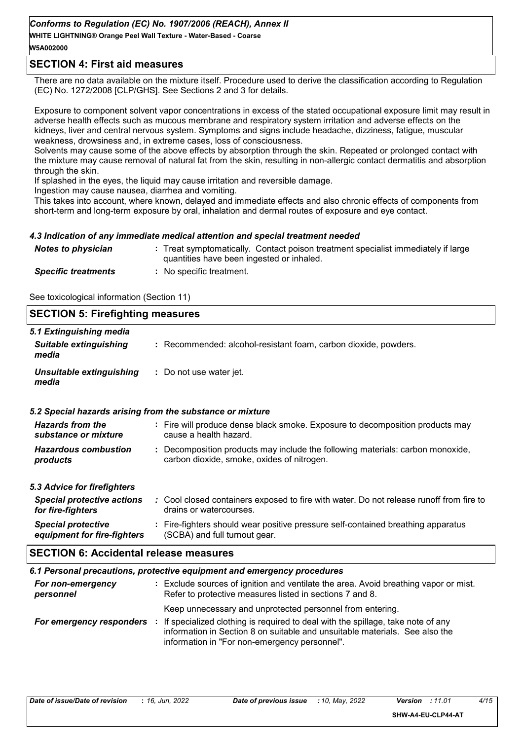## *Conforms to Regulation (EC) No. 1907/2006 (REACH), Annex II*

**WHITE LIGHTNING® Orange Peel Wall Texture - Water-Based - Coarse W5A002000**

## **SECTION 4: First aid measures**

There are no data available on the mixture itself. Procedure used to derive the classification according to Regulation (EC) No. 1272/2008 [CLP/GHS]. See Sections 2 and 3 for details.

Exposure to component solvent vapor concentrations in excess of the stated occupational exposure limit may result in adverse health effects such as mucous membrane and respiratory system irritation and adverse effects on the kidneys, liver and central nervous system. Symptoms and signs include headache, dizziness, fatigue, muscular weakness, drowsiness and, in extreme cases, loss of consciousness.

Solvents may cause some of the above effects by absorption through the skin. Repeated or prolonged contact with the mixture may cause removal of natural fat from the skin, resulting in non-allergic contact dermatitis and absorption through the skin.

If splashed in the eyes, the liquid may cause irritation and reversible damage.

Ingestion may cause nausea, diarrhea and vomiting.

This takes into account, where known, delayed and immediate effects and also chronic effects of components from short-term and long-term exposure by oral, inhalation and dermal routes of exposure and eye contact.

#### *4.3 Indication of any immediate medical attention and special treatment needed*

| <b>Notes to physician</b>  | : Treat symptomatically. Contact poison treatment specialist immediately if large<br>quantities have been ingested or inhaled. |
|----------------------------|--------------------------------------------------------------------------------------------------------------------------------|
| <b>Specific treatments</b> | No specific treatment.                                                                                                         |

See toxicological information (Section 11)

| <b>SECTION 5: Firefighting measures</b>                                                                                                                                                      |                                                                                                                                                  |  |  |  |
|----------------------------------------------------------------------------------------------------------------------------------------------------------------------------------------------|--------------------------------------------------------------------------------------------------------------------------------------------------|--|--|--|
| 5.1 Extinguishing media<br><b>Suitable extinguishing</b><br>media                                                                                                                            | : Recommended: alcohol-resistant foam, carbon dioxide, powders.                                                                                  |  |  |  |
| Unsuitable extinguishing<br>media                                                                                                                                                            | : Do not use water jet.                                                                                                                          |  |  |  |
|                                                                                                                                                                                              | 5.2 Special hazards arising from the substance or mixture                                                                                        |  |  |  |
| <b>Hazards from the</b><br>substance or mixture                                                                                                                                              | : Fire will produce dense black smoke. Exposure to decomposition products may<br>cause a health hazard.                                          |  |  |  |
| <b>Hazardous combustion</b><br>products                                                                                                                                                      | : Decomposition products may include the following materials: carbon monoxide,<br>carbon dioxide, smoke, oxides of nitrogen.                     |  |  |  |
| 5.3 Advice for firefighters                                                                                                                                                                  |                                                                                                                                                  |  |  |  |
| <b>Special protective actions</b><br>for fire-fighters                                                                                                                                       | : Cool closed containers exposed to fire with water. Do not release runoff from fire to<br>drains or watercourses.                               |  |  |  |
| <b>Special protective</b><br>equipment for fire-fighters                                                                                                                                     | : Fire-fighters should wear positive pressure self-contained breathing apparatus<br>(SCBA) and full turnout gear.                                |  |  |  |
| <b>SECTION 6: Accidental release measures</b>                                                                                                                                                |                                                                                                                                                  |  |  |  |
|                                                                                                                                                                                              | 6.1 Personal precautions, protective equipment and emergency procedures                                                                          |  |  |  |
| For non-emergency<br>personnel                                                                                                                                                               | : Exclude sources of ignition and ventilate the area. Avoid breathing vapor or mist.<br>Refer to protective measures listed in sections 7 and 8. |  |  |  |
|                                                                                                                                                                                              | Keep unnecessary and unprotected personnel from entering.                                                                                        |  |  |  |
| If specialized clothing is required to deal with the spillage, take note of any<br>For emergency responders :<br>information in Section 8 on suitable and unsuitable materials. See also the |                                                                                                                                                  |  |  |  |

information in "For non-emergency personnel".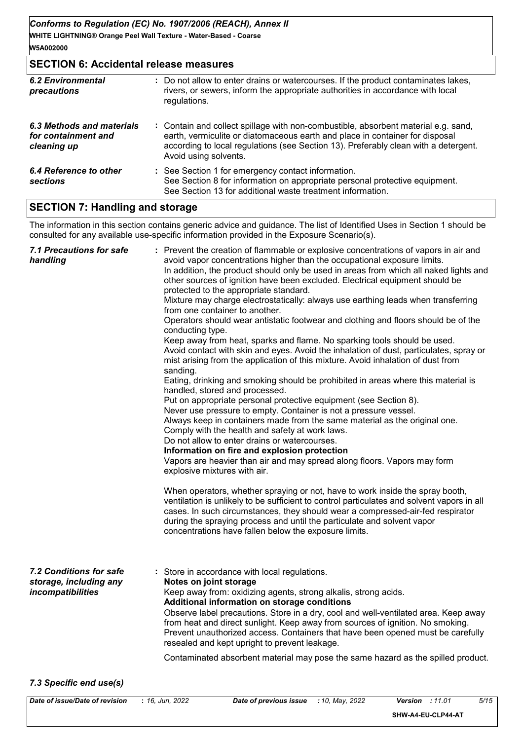## **SECTION 6: Accidental release measures**

| <b>6.2 Environmental</b><br>precautions                         | : Do not allow to enter drains or watercourses. If the product contaminates lakes,<br>rivers, or sewers, inform the appropriate authorities in accordance with local<br>regulations.                                                                                               |
|-----------------------------------------------------------------|------------------------------------------------------------------------------------------------------------------------------------------------------------------------------------------------------------------------------------------------------------------------------------|
| 6.3 Methods and materials<br>for containment and<br>cleaning up | : Contain and collect spillage with non-combustible, absorbent material e.g. sand,<br>earth, vermiculite or diatomaceous earth and place in container for disposal<br>according to local regulations (see Section 13). Preferably clean with a detergent.<br>Avoid using solvents. |
| 6.4 Reference to other<br>sections                              | : See Section 1 for emergency contact information.<br>See Section 8 for information on appropriate personal protective equipment.<br>See Section 13 for additional waste treatment information.                                                                                    |

## **SECTION 7: Handling and storage**

The information in this section contains generic advice and guidance. The list of Identified Uses in Section 1 should be consulted for any available use-specific information provided in the Exposure Scenario(s).

| <b>7.1 Precautions for safe</b><br>handling                            | : Prevent the creation of flammable or explosive concentrations of vapors in air and<br>avoid vapor concentrations higher than the occupational exposure limits.<br>In addition, the product should only be used in areas from which all naked lights and<br>other sources of ignition have been excluded. Electrical equipment should be<br>protected to the appropriate standard.<br>Mixture may charge electrostatically: always use earthing leads when transferring<br>from one container to another.<br>Operators should wear antistatic footwear and clothing and floors should be of the<br>conducting type.<br>Keep away from heat, sparks and flame. No sparking tools should be used.<br>Avoid contact with skin and eyes. Avoid the inhalation of dust, particulates, spray or<br>mist arising from the application of this mixture. Avoid inhalation of dust from<br>sanding.<br>Eating, drinking and smoking should be prohibited in areas where this material is<br>handled, stored and processed.<br>Put on appropriate personal protective equipment (see Section 8).<br>Never use pressure to empty. Container is not a pressure vessel.<br>Always keep in containers made from the same material as the original one.<br>Comply with the health and safety at work laws.<br>Do not allow to enter drains or watercourses.<br>Information on fire and explosion protection<br>Vapors are heavier than air and may spread along floors. Vapors may form<br>explosive mixtures with air.<br>When operators, whether spraying or not, have to work inside the spray booth,<br>ventilation is unlikely to be sufficient to control particulates and solvent vapors in all<br>cases. In such circumstances, they should wear a compressed-air-fed respirator<br>during the spraying process and until the particulate and solvent vapor<br>concentrations have fallen below the exposure limits. |
|------------------------------------------------------------------------|---------------------------------------------------------------------------------------------------------------------------------------------------------------------------------------------------------------------------------------------------------------------------------------------------------------------------------------------------------------------------------------------------------------------------------------------------------------------------------------------------------------------------------------------------------------------------------------------------------------------------------------------------------------------------------------------------------------------------------------------------------------------------------------------------------------------------------------------------------------------------------------------------------------------------------------------------------------------------------------------------------------------------------------------------------------------------------------------------------------------------------------------------------------------------------------------------------------------------------------------------------------------------------------------------------------------------------------------------------------------------------------------------------------------------------------------------------------------------------------------------------------------------------------------------------------------------------------------------------------------------------------------------------------------------------------------------------------------------------------------------------------------------------------------------------------------------------------------------------------------------------------------------------------|
| 7.2 Conditions for safe<br>storage, including any<br>incompatibilities | : Store in accordance with local regulations.<br>Notes on joint storage<br>Keep away from: oxidizing agents, strong alkalis, strong acids.<br>Additional information on storage conditions<br>Observe label precautions. Store in a dry, cool and well-ventilated area. Keep away<br>from heat and direct sunlight. Keep away from sources of ignition. No smoking.<br>Prevent unauthorized access. Containers that have been opened must be carefully<br>resealed and kept upright to prevent leakage.<br>Contaminated absorbent material may pose the same hazard as the spilled product.                                                                                                                                                                                                                                                                                                                                                                                                                                                                                                                                                                                                                                                                                                                                                                                                                                                                                                                                                                                                                                                                                                                                                                                                                                                                                                                   |

#### *7.3 Specific end use(s)*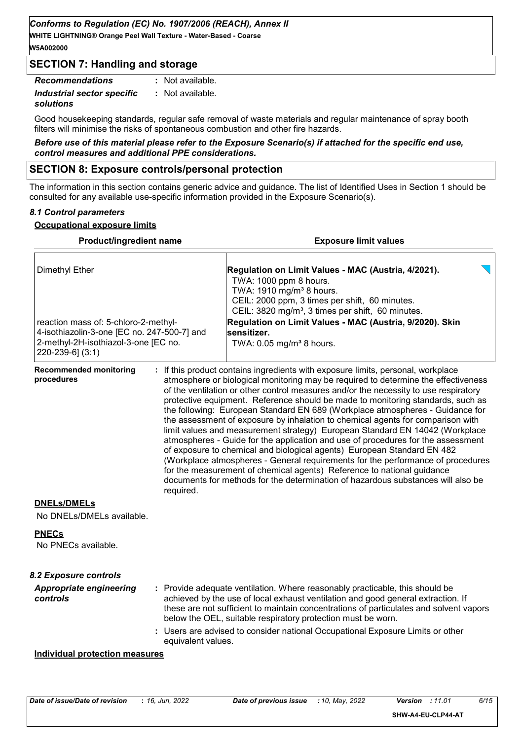**W5A002000**

## **SECTION 7: Handling and storage**

*Recommendations* **:** *Industrial sector specific* **:** *solutions* : Not available. : Not available.

Good housekeeping standards, regular safe removal of waste materials and regular maintenance of spray booth filters will minimise the risks of spontaneous combustion and other fire hazards.

*Before use of this material please refer to the Exposure Scenario(s) if attached for the specific end use, control measures and additional PPE considerations.*

## **SECTION 8: Exposure controls/personal protection**

The information in this section contains generic advice and guidance. The list of Identified Uses in Section 1 should be consulted for any available use-specific information provided in the Exposure Scenario(s).

## *8.1 Control parameters*

## **Occupational exposure limits**

| Product/ingredient name<br><b>Dimethyl Ether</b><br>reaction mass of: 5-chloro-2-methyl-<br>4-isothiazolin-3-one [EC no. 247-500-7] and<br>2-methyl-2H-isothiazol-3-one [EC no.<br>220-239-6] (3:1) |                    | <b>Exposure limit values</b><br>Regulation on Limit Values - MAC (Austria, 4/2021).<br>TWA: 1000 ppm 8 hours.<br>TWA: 1910 mg/m <sup>3</sup> 8 hours.<br>CEIL: 2000 ppm, 3 times per shift, 60 minutes.<br>CEIL: 3820 mg/m <sup>3</sup> , 3 times per shift, 60 minutes.<br>Regulation on Limit Values - MAC (Austria, 9/2020). Skin<br>sensitizer.<br>TWA: 0.05 mg/m <sup>3</sup> 8 hours. |  |  |                                                 |           |                                                                                                                                                                                                                                                                                                                                                                                                                                                                                                                                                                                                                                                                                                                                                                                                                                                                                                                                                                                                                       |
|-----------------------------------------------------------------------------------------------------------------------------------------------------------------------------------------------------|--------------------|---------------------------------------------------------------------------------------------------------------------------------------------------------------------------------------------------------------------------------------------------------------------------------------------------------------------------------------------------------------------------------------------|--|--|-------------------------------------------------|-----------|-----------------------------------------------------------------------------------------------------------------------------------------------------------------------------------------------------------------------------------------------------------------------------------------------------------------------------------------------------------------------------------------------------------------------------------------------------------------------------------------------------------------------------------------------------------------------------------------------------------------------------------------------------------------------------------------------------------------------------------------------------------------------------------------------------------------------------------------------------------------------------------------------------------------------------------------------------------------------------------------------------------------------|
|                                                                                                                                                                                                     |                    |                                                                                                                                                                                                                                                                                                                                                                                             |  |  | <b>Recommended monitoring</b><br>procedures     | required. | : If this product contains ingredients with exposure limits, personal, workplace<br>atmosphere or biological monitoring may be required to determine the effectiveness<br>of the ventilation or other control measures and/or the necessity to use respiratory<br>protective equipment. Reference should be made to monitoring standards, such as<br>the following: European Standard EN 689 (Workplace atmospheres - Guidance for<br>the assessment of exposure by inhalation to chemical agents for comparison with<br>limit values and measurement strategy) European Standard EN 14042 (Workplace<br>atmospheres - Guide for the application and use of procedures for the assessment<br>of exposure to chemical and biological agents) European Standard EN 482<br>(Workplace atmospheres - General requirements for the performance of procedures<br>for the measurement of chemical agents) Reference to national guidance<br>documents for methods for the determination of hazardous substances will also be |
|                                                                                                                                                                                                     |                    |                                                                                                                                                                                                                                                                                                                                                                                             |  |  | <b>DNELs/DMELs</b><br>No DNELs/DMELs available. |           |                                                                                                                                                                                                                                                                                                                                                                                                                                                                                                                                                                                                                                                                                                                                                                                                                                                                                                                                                                                                                       |
| <b>PNECs</b><br>No PNECs available.                                                                                                                                                                 |                    |                                                                                                                                                                                                                                                                                                                                                                                             |  |  |                                                 |           |                                                                                                                                                                                                                                                                                                                                                                                                                                                                                                                                                                                                                                                                                                                                                                                                                                                                                                                                                                                                                       |
| 8.2 Exposure controls                                                                                                                                                                               |                    |                                                                                                                                                                                                                                                                                                                                                                                             |  |  |                                                 |           |                                                                                                                                                                                                                                                                                                                                                                                                                                                                                                                                                                                                                                                                                                                                                                                                                                                                                                                                                                                                                       |
| <b>Appropriate engineering</b><br>controls                                                                                                                                                          |                    | : Provide adequate ventilation. Where reasonably practicable, this should be<br>achieved by the use of local exhaust ventilation and good general extraction. If<br>these are not sufficient to maintain concentrations of particulates and solvent vapors<br>below the OEL, suitable respiratory protection must be worn.                                                                  |  |  |                                                 |           |                                                                                                                                                                                                                                                                                                                                                                                                                                                                                                                                                                                                                                                                                                                                                                                                                                                                                                                                                                                                                       |
|                                                                                                                                                                                                     | equivalent values. | : Users are advised to consider national Occupational Exposure Limits or other                                                                                                                                                                                                                                                                                                              |  |  |                                                 |           |                                                                                                                                                                                                                                                                                                                                                                                                                                                                                                                                                                                                                                                                                                                                                                                                                                                                                                                                                                                                                       |
| <b>Individual protection measures</b>                                                                                                                                                               |                    |                                                                                                                                                                                                                                                                                                                                                                                             |  |  |                                                 |           |                                                                                                                                                                                                                                                                                                                                                                                                                                                                                                                                                                                                                                                                                                                                                                                                                                                                                                                                                                                                                       |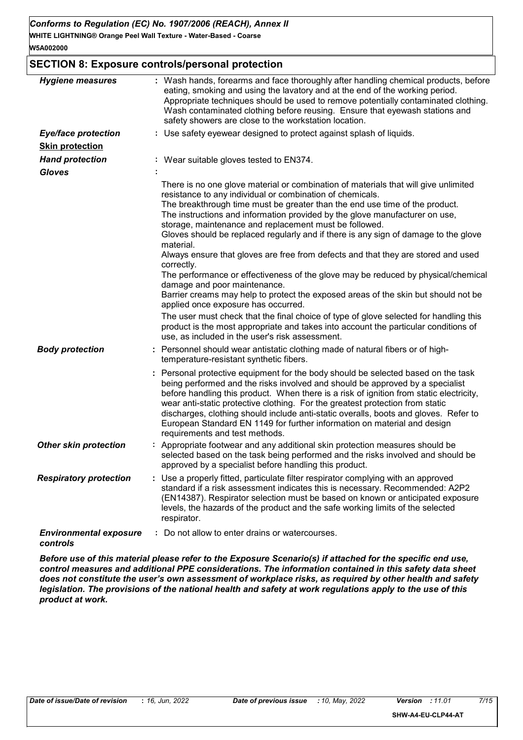## **SECTION 8: Exposure controls/personal protection**

| <b>Hygiene measures</b>                   | : Wash hands, forearms and face thoroughly after handling chemical products, before<br>eating, smoking and using the lavatory and at the end of the working period.<br>Appropriate techniques should be used to remove potentially contaminated clothing.<br>Wash contaminated clothing before reusing. Ensure that eyewash stations and<br>safety showers are close to the workstation location.                                                                                                                                                                                                                                                                                                                                                                                                                                                                                                                                                                                                                                                                    |
|-------------------------------------------|----------------------------------------------------------------------------------------------------------------------------------------------------------------------------------------------------------------------------------------------------------------------------------------------------------------------------------------------------------------------------------------------------------------------------------------------------------------------------------------------------------------------------------------------------------------------------------------------------------------------------------------------------------------------------------------------------------------------------------------------------------------------------------------------------------------------------------------------------------------------------------------------------------------------------------------------------------------------------------------------------------------------------------------------------------------------|
| <b>Eye/face protection</b>                | : Use safety eyewear designed to protect against splash of liquids.                                                                                                                                                                                                                                                                                                                                                                                                                                                                                                                                                                                                                                                                                                                                                                                                                                                                                                                                                                                                  |
| <b>Skin protection</b>                    |                                                                                                                                                                                                                                                                                                                                                                                                                                                                                                                                                                                                                                                                                                                                                                                                                                                                                                                                                                                                                                                                      |
| <b>Hand protection</b>                    | : Wear suitable gloves tested to EN374.                                                                                                                                                                                                                                                                                                                                                                                                                                                                                                                                                                                                                                                                                                                                                                                                                                                                                                                                                                                                                              |
| <b>Gloves</b>                             |                                                                                                                                                                                                                                                                                                                                                                                                                                                                                                                                                                                                                                                                                                                                                                                                                                                                                                                                                                                                                                                                      |
|                                           | There is no one glove material or combination of materials that will give unlimited<br>resistance to any individual or combination of chemicals.<br>The breakthrough time must be greater than the end use time of the product.<br>The instructions and information provided by the glove manufacturer on use,<br>storage, maintenance and replacement must be followed.<br>Gloves should be replaced regularly and if there is any sign of damage to the glove<br>material.<br>Always ensure that gloves are free from defects and that they are stored and used<br>correctly.<br>The performance or effectiveness of the glove may be reduced by physical/chemical<br>damage and poor maintenance.<br>Barrier creams may help to protect the exposed areas of the skin but should not be<br>applied once exposure has occurred.<br>The user must check that the final choice of type of glove selected for handling this<br>product is the most appropriate and takes into account the particular conditions of<br>use, as included in the user's risk assessment. |
| <b>Body protection</b>                    | Personnel should wear antistatic clothing made of natural fibers or of high-<br>temperature-resistant synthetic fibers.                                                                                                                                                                                                                                                                                                                                                                                                                                                                                                                                                                                                                                                                                                                                                                                                                                                                                                                                              |
|                                           | : Personal protective equipment for the body should be selected based on the task<br>being performed and the risks involved and should be approved by a specialist<br>before handling this product. When there is a risk of ignition from static electricity,<br>wear anti-static protective clothing. For the greatest protection from static<br>discharges, clothing should include anti-static overalls, boots and gloves. Refer to<br>European Standard EN 1149 for further information on material and design<br>requirements and test methods.                                                                                                                                                                                                                                                                                                                                                                                                                                                                                                                 |
| <b>Other skin protection</b>              | Appropriate footwear and any additional skin protection measures should be<br>selected based on the task being performed and the risks involved and should be<br>approved by a specialist before handling this product.                                                                                                                                                                                                                                                                                                                                                                                                                                                                                                                                                                                                                                                                                                                                                                                                                                              |
| <b>Respiratory protection</b>             | Use a properly fitted, particulate filter respirator complying with an approved<br>standard if a risk assessment indicates this is necessary. Recommended: A2P2<br>(EN14387). Respirator selection must be based on known or anticipated exposure<br>levels, the hazards of the product and the safe working limits of the selected<br>respirator.                                                                                                                                                                                                                                                                                                                                                                                                                                                                                                                                                                                                                                                                                                                   |
| <b>Environmental exposure</b><br>controls | : Do not allow to enter drains or watercourses.                                                                                                                                                                                                                                                                                                                                                                                                                                                                                                                                                                                                                                                                                                                                                                                                                                                                                                                                                                                                                      |

*Before use of this material please refer to the Exposure Scenario(s) if attached for the specific end use, control measures and additional PPE considerations. The information contained in this safety data sheet does not constitute the user's own assessment of workplace risks, as required by other health and safety legislation. The provisions of the national health and safety at work regulations apply to the use of this product at work.*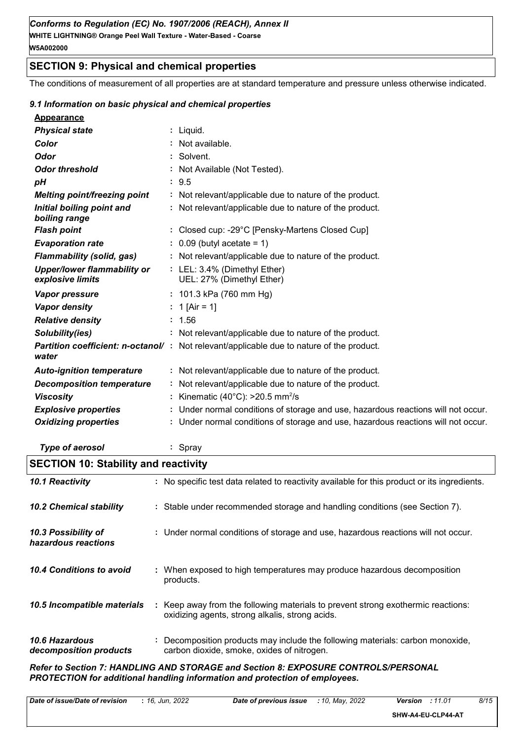## **SECTION 9: Physical and chemical properties**

The conditions of measurement of all properties are at standard temperature and pressure unless otherwise indicated.

#### *9.1 Information on basic physical and chemical properties*

| <b>Physical state</b>                                  | $:$ Liquid.                                                                                      |
|--------------------------------------------------------|--------------------------------------------------------------------------------------------------|
| Color                                                  | : Not available.                                                                                 |
| <b>Odor</b>                                            | : Solvent.                                                                                       |
| <b>Odor threshold</b>                                  | : Not Available (Not Tested).                                                                    |
| pH                                                     | : 9.5                                                                                            |
| <b>Melting point/freezing point</b>                    | : Not relevant/applicable due to nature of the product.                                          |
| Initial boiling point and<br>boiling range             | : Not relevant/applicable due to nature of the product.                                          |
| <b>Flash point</b>                                     | : Closed cup: -29°C [Pensky-Martens Closed Cup]                                                  |
| <b>Evaporation rate</b>                                | $: 0.09$ (butyl acetate = 1)                                                                     |
| <b>Flammability (solid, gas)</b>                       | : Not relevant/applicable due to nature of the product.                                          |
| <b>Upper/lower flammability or</b><br>explosive limits | : LEL: 3.4% (Dimethyl Ether)<br>UEL: 27% (Dimethyl Ether)                                        |
| <b>Vapor pressure</b>                                  | : 101.3 kPa (760 mm Hg)                                                                          |
| <b>Vapor density</b>                                   | : 1 [Air = 1]                                                                                    |
| <b>Relative density</b>                                | : 1.56                                                                                           |
| Solubility(ies)                                        | : Not relevant/applicable due to nature of the product.                                          |
| water                                                  | <b>Partition coefficient: n-octanol/</b> : Not relevant/applicable due to nature of the product. |
| <b>Auto-ignition temperature</b>                       | : Not relevant/applicable due to nature of the product.                                          |
| <b>Decomposition temperature</b>                       | : Not relevant/applicable due to nature of the product.                                          |
| <b>Viscosity</b>                                       | : Kinematic (40°C): $>$ 20.5 mm <sup>2</sup> /s                                                  |
| <b>Explosive properties</b>                            | : Under normal conditions of storage and use, hazardous reactions will not occur.                |
| <b>Oxidizing properties</b>                            | : Under normal conditions of storage and use, hazardous reactions will not occur.                |
|                                                        |                                                                                                  |

*Type of aerosol* **:** Spray

## **SECTION 10: Stability and reactivity**

| : No specific test data related to reactivity available for this product or its ingredients.                                        |
|-------------------------------------------------------------------------------------------------------------------------------------|
| : Stable under recommended storage and handling conditions (see Section 7).                                                         |
| : Under normal conditions of storage and use, hazardous reactions will not occur.                                                   |
| : When exposed to high temperatures may produce hazardous decomposition<br>products.                                                |
| : Keep away from the following materials to prevent strong exothermic reactions:<br>oxidizing agents, strong alkalis, strong acids. |
| : Decomposition products may include the following materials: carbon monoxide,<br>carbon dioxide, smoke, oxides of nitrogen.        |
|                                                                                                                                     |

*Refer to Section 7: HANDLING AND STORAGE and Section 8: EXPOSURE CONTROLS/PERSONAL PROTECTION for additional handling information and protection of employees.*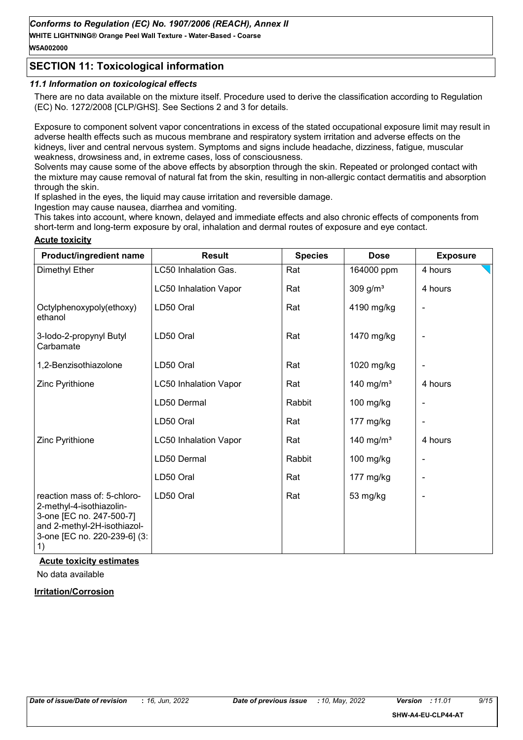**WHITE LIGHTNING® Orange Peel Wall Texture - Water-Based - Coarse W5A002000**

## **SECTION 11: Toxicological information**

#### *11.1 Information on toxicological effects*

There are no data available on the mixture itself. Procedure used to derive the classification according to Regulation (EC) No. 1272/2008 [CLP/GHS]. See Sections 2 and 3 for details.

Exposure to component solvent vapor concentrations in excess of the stated occupational exposure limit may result in adverse health effects such as mucous membrane and respiratory system irritation and adverse effects on the kidneys, liver and central nervous system. Symptoms and signs include headache, dizziness, fatigue, muscular weakness, drowsiness and, in extreme cases, loss of consciousness.

Solvents may cause some of the above effects by absorption through the skin. Repeated or prolonged contact with the mixture may cause removal of natural fat from the skin, resulting in non-allergic contact dermatitis and absorption through the skin.

If splashed in the eyes, the liquid may cause irritation and reversible damage.

Ingestion may cause nausea, diarrhea and vomiting.

This takes into account, where known, delayed and immediate effects and also chronic effects of components from short-term and long-term exposure by oral, inhalation and dermal routes of exposure and eve contact.

#### **Acute toxicity**

| Product/ingredient name                                                                                                                                                                              | <b>Result</b>                | <b>Species</b> | <b>Dose</b>           | <b>Exposure</b> |
|------------------------------------------------------------------------------------------------------------------------------------------------------------------------------------------------------|------------------------------|----------------|-----------------------|-----------------|
| Dimethyl Ether                                                                                                                                                                                       | LC50 Inhalation Gas.         | Rat            | 164000 ppm            | 4 hours         |
|                                                                                                                                                                                                      | <b>LC50 Inhalation Vapor</b> | Rat            | 309 g/ $m3$           | 4 hours         |
| Octylphenoxypoly(ethoxy)<br>ethanol                                                                                                                                                                  | LD50 Oral                    | Rat            | 4190 mg/kg            |                 |
| 3-lodo-2-propynyl Butyl<br>Carbamate                                                                                                                                                                 | LD50 Oral                    | Rat            | 1470 mg/kg            |                 |
| 1,2-Benzisothiazolone                                                                                                                                                                                | LD50 Oral                    | Rat            | 1020 mg/kg            |                 |
| Zinc Pyrithione                                                                                                                                                                                      | <b>LC50 Inhalation Vapor</b> | Rat            | 140 mg/m <sup>3</sup> | 4 hours         |
|                                                                                                                                                                                                      | LD50 Dermal                  | Rabbit         | 100 mg/kg             |                 |
|                                                                                                                                                                                                      | LD50 Oral                    | Rat            | 177 mg/kg             |                 |
| Zinc Pyrithione                                                                                                                                                                                      | <b>LC50 Inhalation Vapor</b> | Rat            | 140 mg/m <sup>3</sup> | 4 hours         |
|                                                                                                                                                                                                      | LD50 Dermal                  | Rabbit         | $100$ mg/kg           |                 |
|                                                                                                                                                                                                      | LD50 Oral                    | Rat            | 177 mg/kg             |                 |
| reaction mass of: 5-chloro-<br>2-methyl-4-isothiazolin-<br>3-one [EC no. 247-500-7]<br>and 2-methyl-2H-isothiazol-<br>3-one [EC no. 220-239-6] (3:<br>$\left( \begin{matrix} 1 \end{matrix} \right)$ | LD50 Oral                    | Rat            | 53 mg/kg              |                 |

#### **Acute toxicity estimates**

No data available

#### **Irritation/Corrosion**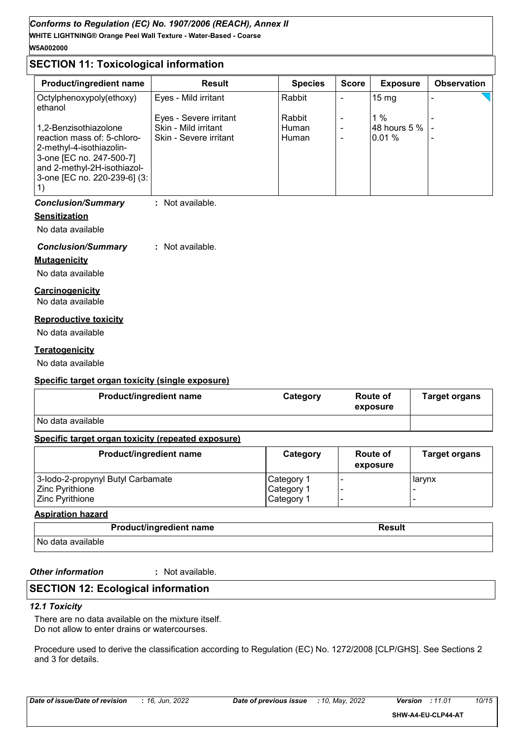## **WHITE LIGHTNING® Orange Peel Wall Texture - Water-Based - Coarse** *Conforms to Regulation (EC) No. 1907/2006 (REACH), Annex II* **W5A002000**

## **SECTION 11: Toxicological information**

| <b>Product/ingredient name</b>                                                                                                                     | <b>Result</b>          | <b>Species</b> | <b>Score</b> | <b>Exposure</b> | <b>Observation</b> |
|----------------------------------------------------------------------------------------------------------------------------------------------------|------------------------|----------------|--------------|-----------------|--------------------|
| Octylphenoxypoly(ethoxy)<br>ethanol                                                                                                                | Eyes - Mild irritant   | Rabbit         |              | $15 \text{ mg}$ |                    |
|                                                                                                                                                    | Eyes - Severe irritant | Rabbit         |              | $1\%$           |                    |
| 1,2-Benzisothiazolone                                                                                                                              | Skin - Mild irritant   | Human          |              | 48 hours 5 %    |                    |
| reaction mass of: 5-chloro-<br>2-methyl-4-isothiazolin-<br>3-one [EC no. 247-500-7]<br>and 2-methyl-2H-isothiazol-<br>3-one [EC no. 220-239-6] (3: | Skin - Severe irritant | <b>Human</b>   |              | $0.01\%$        |                    |

## *Conclusion/Summary* **:** Not available.

#### **Sensitization**

No data available

## *Conclusion/Summary* **:** Not available.

**Mutagenicity**

# No data available

**Carcinogenicity**

No data available

#### **Reproductive toxicity**

No data available

## **Teratogenicity**

No data available

## **Specific target organ toxicity (single exposure)**

| <b>Product/ingredient name</b> | Category | Route of<br>exposure | <b>Target organs</b> |
|--------------------------------|----------|----------------------|----------------------|
| No data available              |          |                      |                      |

## **Specific target organ toxicity (repeated exposure)**

| Product/ingredient name           | Category   | <b>Route of</b><br>exposure | <b>Target organs</b> |
|-----------------------------------|------------|-----------------------------|----------------------|
| 3-lodo-2-propynyl Butyl Carbamate | Category 1 |                             | larynx               |
| Zinc Pyrithione                   | Category 1 |                             |                      |
| <b>Zinc Pyrithione</b>            | Category 1 |                             |                      |

## **Aspiration hazard**

| <b>Product/ingredient name</b> | Result |
|--------------------------------|--------|
| No data available              |        |

*Other information* **:**

: Not available.

## **SECTION 12: Ecological information**

#### *12.1 Toxicity*

There are no data available on the mixture itself. Do not allow to enter drains or watercourses.

Procedure used to derive the classification according to Regulation (EC) No. 1272/2008 [CLP/GHS]. See Sections 2 and 3 for details.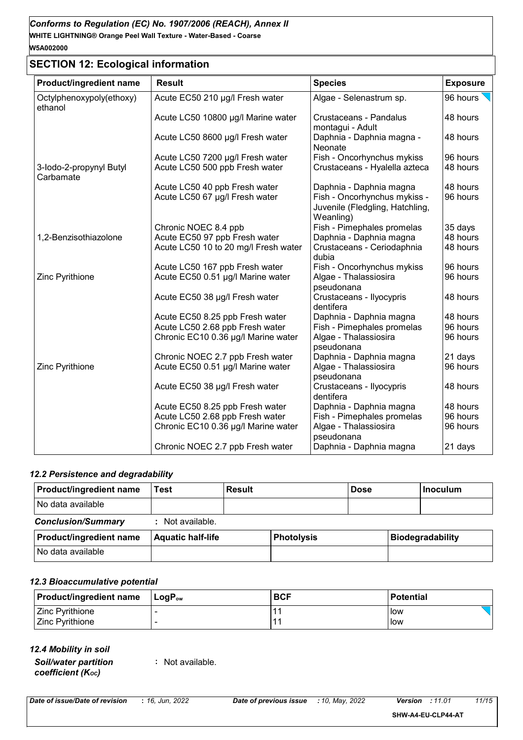# **SECTION 12: Ecological information**

| Product/ingredient name              | <b>Result</b>                        | <b>Species</b>                                                               | <b>Exposure</b> |
|--------------------------------------|--------------------------------------|------------------------------------------------------------------------------|-----------------|
| Octylphenoxypoly(ethoxy)<br>ethanol  | Acute EC50 210 µg/l Fresh water      | Algae - Selenastrum sp.                                                      | 96 hours        |
|                                      | Acute LC50 10800 µg/l Marine water   | <b>Crustaceans - Pandalus</b><br>montagui - Adult                            | 48 hours        |
|                                      | Acute LC50 8600 µg/l Fresh water     | Daphnia - Daphnia magna -<br>Neonate                                         | 48 hours        |
|                                      | Acute LC50 7200 µg/l Fresh water     | Fish - Oncorhynchus mykiss                                                   | 96 hours        |
| 3-lodo-2-propynyl Butyl<br>Carbamate | Acute LC50 500 ppb Fresh water       | Crustaceans - Hyalella azteca                                                | 48 hours        |
|                                      | Acute LC50 40 ppb Fresh water        | Daphnia - Daphnia magna                                                      | 48 hours        |
|                                      | Acute LC50 67 µg/l Fresh water       | Fish - Oncorhynchus mykiss -<br>Juvenile (Fledgling, Hatchling,<br>Weanling) | 96 hours        |
|                                      | Chronic NOEC 8.4 ppb                 | Fish - Pimephales promelas                                                   | 35 days         |
| 1,2-Benzisothiazolone                | Acute EC50 97 ppb Fresh water        | Daphnia - Daphnia magna                                                      | 48 hours        |
|                                      | Acute LC50 10 to 20 mg/l Fresh water | Crustaceans - Ceriodaphnia<br>dubia                                          | 48 hours        |
|                                      | Acute LC50 167 ppb Fresh water       | Fish - Oncorhynchus mykiss                                                   | 96 hours        |
| Zinc Pyrithione                      | Acute EC50 0.51 µg/l Marine water    | Algae - Thalassiosira<br>pseudonana                                          | 96 hours        |
|                                      | Acute EC50 38 µg/l Fresh water       | Crustaceans - Ilyocypris<br>dentifera                                        | 48 hours        |
|                                      | Acute EC50 8.25 ppb Fresh water      | Daphnia - Daphnia magna                                                      | 48 hours        |
|                                      | Acute LC50 2.68 ppb Fresh water      | Fish - Pimephales promelas                                                   | 96 hours        |
|                                      | Chronic EC10 0.36 µg/l Marine water  | Algae - Thalassiosira<br>pseudonana                                          | 96 hours        |
|                                      | Chronic NOEC 2.7 ppb Fresh water     | Daphnia - Daphnia magna                                                      | 21 days         |
| Zinc Pyrithione                      | Acute EC50 0.51 µg/l Marine water    | Algae - Thalassiosira<br>pseudonana                                          | 96 hours        |
|                                      | Acute EC50 38 µg/l Fresh water       | Crustaceans - Ilyocypris<br>dentifera                                        | 48 hours        |
|                                      | Acute EC50 8.25 ppb Fresh water      | Daphnia - Daphnia magna                                                      | 48 hours        |
|                                      | Acute LC50 2.68 ppb Fresh water      | Fish - Pimephales promelas                                                   | 96 hours        |
|                                      | Chronic EC10 0.36 µg/l Marine water  | Algae - Thalassiosira<br>pseudonana                                          | 96 hours        |
|                                      | Chronic NOEC 2.7 ppb Fresh water     | Daphnia - Daphnia magna                                                      | 21 days         |

## *12.2 Persistence and degradability*

| <b>Product/ingredient name</b> | Test                     | Result |                   | <b>Dose</b> | <b>Inoculum</b>         |
|--------------------------------|--------------------------|--------|-------------------|-------------|-------------------------|
| No data available              |                          |        |                   |             |                         |
| <b>Conclusion/Summary</b>      | : Not available.         |        |                   |             |                         |
| <b>Product/ingredient name</b> | <b>Aquatic half-life</b> |        | <b>Photolysis</b> |             | <b>Biodegradability</b> |
| l No data available            |                          |        |                   |             |                         |

#### *12.3 Bioaccumulative potential*

| <b>Product/ingredient name</b> | ⊺LoqP <sub>ow</sub> | <b>BCF</b> | <b>Potential</b> |
|--------------------------------|---------------------|------------|------------------|
| Zinc Pyrithione                |                     |            | low              |
| <b>Zinc Pyrithione</b>         |                     |            | low              |

*12.4 Mobility in soil*

*Soil/water partition coefficient (KOC)*

**:** Not available.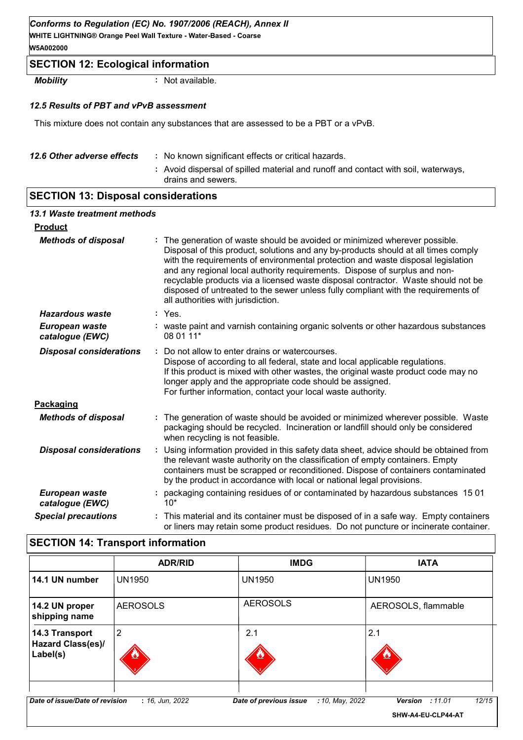#### *Conforms to Regulation (EC) No. 1907/2006 (REACH), Annex II*

**WHITE LIGHTNING® Orange Peel Wall Texture - Water-Based - Coarse W5A002000**

## **SECTION 12: Ecological information**

*Mobility* **:** Not available.

#### *12.5 Results of PBT and vPvB assessment*

This mixture does not contain any substances that are assessed to be a PBT or a vPvB.

| 12.6 Other adverse effects | : No known significant effects or critical hazards.                                                      |
|----------------------------|----------------------------------------------------------------------------------------------------------|
|                            | : Avoid dispersal of spilled material and runoff and contact with soil, waterways,<br>drains and sewers. |

## **SECTION 13: Disposal considerations**

| 13.1 Waste treatment methods      |                                                                                                                                                                                                                                                                                                                                                                                                                                                                                                                                                      |  |
|-----------------------------------|------------------------------------------------------------------------------------------------------------------------------------------------------------------------------------------------------------------------------------------------------------------------------------------------------------------------------------------------------------------------------------------------------------------------------------------------------------------------------------------------------------------------------------------------------|--|
| <b>Product</b>                    |                                                                                                                                                                                                                                                                                                                                                                                                                                                                                                                                                      |  |
| <b>Methods of disposal</b>        | : The generation of waste should be avoided or minimized wherever possible.<br>Disposal of this product, solutions and any by-products should at all times comply<br>with the requirements of environmental protection and waste disposal legislation<br>and any regional local authority requirements. Dispose of surplus and non-<br>recyclable products via a licensed waste disposal contractor. Waste should not be<br>disposed of untreated to the sewer unless fully compliant with the requirements of<br>all authorities with jurisdiction. |  |
| <b>Hazardous waste</b>            |                                                                                                                                                                                                                                                                                                                                                                                                                                                                                                                                                      |  |
| European waste<br>catalogue (EWC) | : waste paint and varnish containing organic solvents or other hazardous substances<br>08 01 11*                                                                                                                                                                                                                                                                                                                                                                                                                                                     |  |
| <b>Disposal considerations</b>    | Do not allow to enter drains or watercourses.<br>Dispose of according to all federal, state and local applicable regulations.<br>If this product is mixed with other wastes, the original waste product code may no<br>longer apply and the appropriate code should be assigned.<br>For further information, contact your local waste authority.                                                                                                                                                                                                     |  |
| <b>Packaging</b>                  |                                                                                                                                                                                                                                                                                                                                                                                                                                                                                                                                                      |  |
| <b>Methods of disposal</b>        | : The generation of waste should be avoided or minimized wherever possible. Waste<br>packaging should be recycled. Incineration or landfill should only be considered<br>when recycling is not feasible.                                                                                                                                                                                                                                                                                                                                             |  |
| <b>Disposal considerations</b>    | : Using information provided in this safety data sheet, advice should be obtained from<br>the relevant waste authority on the classification of empty containers. Empty<br>containers must be scrapped or reconditioned. Dispose of containers contaminated<br>by the product in accordance with local or national legal provisions.                                                                                                                                                                                                                 |  |
| European waste<br>catalogue (EWC) | : packaging containing residues of or contaminated by hazardous substances 1501                                                                                                                                                                                                                                                                                                                                                                                                                                                                      |  |
| <b>Special precautions</b>        | This material and its container must be disposed of in a safe way. Empty containers<br>or liners may retain some product residues. Do not puncture or incinerate container.                                                                                                                                                                                                                                                                                                                                                                          |  |

## **SECTION 14: Transport information**

|                                                        | <b>ADR/RID</b>  | <b>IMDG</b>                               | <b>IATA</b>                                             |
|--------------------------------------------------------|-----------------|-------------------------------------------|---------------------------------------------------------|
| 14.1 UN number                                         | <b>UN1950</b>   | <b>UN1950</b>                             | <b>UN1950</b>                                           |
| 14.2 UN proper<br>shipping name                        | <b>AEROSOLS</b> | <b>AEROSOLS</b>                           | AEROSOLS, flammable                                     |
| 14.3 Transport<br><b>Hazard Class(es)/</b><br>Label(s) | 2               | 2.1                                       | 2.1                                                     |
| Date of issue/Date of revision                         | : 16, Jun, 2022 | Date of previous issue<br>: 10, May, 2022 | 12/15<br>:11.01<br><b>Version</b><br>SHW-A4-EU-CLP44-AT |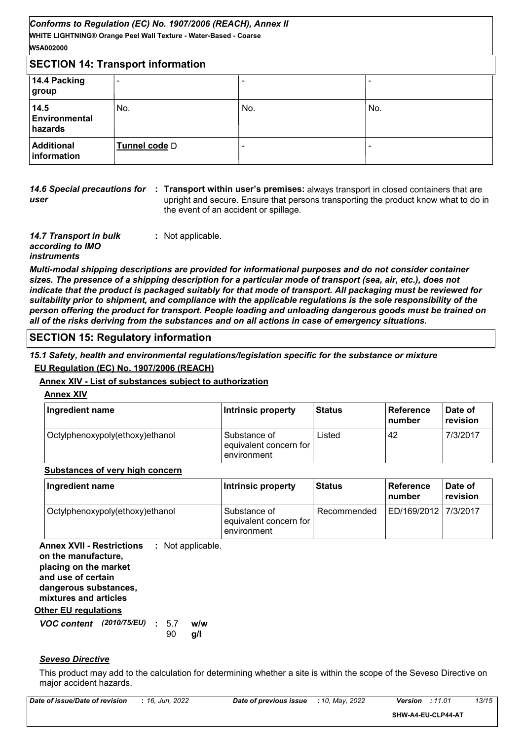| W5A002000                        |                                          |                          |     |
|----------------------------------|------------------------------------------|--------------------------|-----|
|                                  | <b>SECTION 14: Transport information</b> |                          |     |
| 14.4 Packing<br>group            | -                                        |                          |     |
| 14.5<br>Environmental<br>hazards | No.                                      | No.                      | No. |
| <b>Additional</b><br>information | Tunnel code D                            | $\overline{\phantom{a}}$ |     |

*user*

**14.6 Special precautions for : Transport within user's premises: always transport in closed containers that are** upright and secure. Ensure that persons transporting the product know what to do in the event of an accident or spillage.

*14.7 Transport in bulk according to IMO instruments* **:** Not applicable.

*Multi-modal shipping descriptions are provided for informational purposes and do not consider container sizes. The presence of a shipping description for a particular mode of transport (sea, air, etc.), does not indicate that the product is packaged suitably for that mode of transport. All packaging must be reviewed for suitability prior to shipment, and compliance with the applicable regulations is the sole responsibility of the person offering the product for transport. People loading and unloading dangerous goods must be trained on all of the risks deriving from the substances and on all actions in case of emergency situations.*

## **SECTION 15: Regulatory information**

*15.1 Safety, health and environmental regulations/legislation specific for the substance or mixture* **EU Regulation (EC) No. 1907/2006 (REACH)**

## **Annex XIV - List of substances subject to authorization**

**Annex XIV**

| Ingredient name                 | Intrinsic property                                    | <b>Status</b> | ∣ Reference<br><b>Inumber</b> | Date of<br>revision |
|---------------------------------|-------------------------------------------------------|---------------|-------------------------------|---------------------|
| Octylphenoxypoly(ethoxy)ethanol | Substance of<br>equivalent concern for<br>environment | ∟isted        | 42                            | 7/3/2017            |

#### **Substances of very high concern**

| Ingredient name                 | Intrinsic property                                    | l Status    | <b>Reference</b><br>∣number | Date of<br>revision |
|---------------------------------|-------------------------------------------------------|-------------|-----------------------------|---------------------|
| Octylphenoxypoly(ethoxy)ethanol | Substance of<br>equivalent concern for<br>environment | Recommended | ED/169/2012   7/3/2017      |                     |

**Other EU regulations Annex XVII - Restrictions :** Not applicable. **on the manufacture, placing on the market and use of certain dangerous substances, mixtures and articles**

*VOC content* **: w/w** *(2010/75/EU)* **g/l** 90 w/w

#### *Seveso Directive*

This product may add to the calculation for determining whether a site is within the scope of the Seveso Directive on major accident hazards.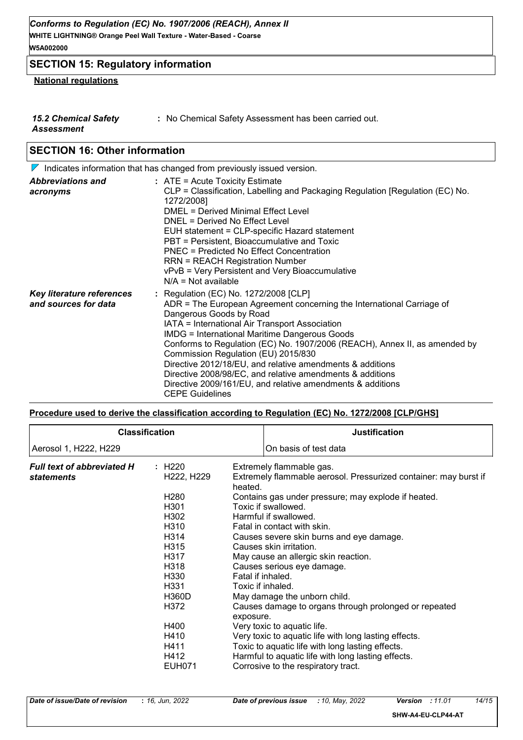## **SECTION 15: Regulatory information**

## **National regulations**

| <b>15.2 Chemical Safety</b> | : No Chemical Safety Assessment has been carried out. |
|-----------------------------|-------------------------------------------------------|
| Assessment                  |                                                       |

## **SECTION 16: Other information**

|                                                          | $\nabla$ Indicates information that has changed from previously issued version.                                                                                                                                                                                                                                                                                                                                                                                                                                                                                                            |
|----------------------------------------------------------|--------------------------------------------------------------------------------------------------------------------------------------------------------------------------------------------------------------------------------------------------------------------------------------------------------------------------------------------------------------------------------------------------------------------------------------------------------------------------------------------------------------------------------------------------------------------------------------------|
| <b>Abbreviations and</b><br>acronyms                     | $:$ ATE = Acute Toxicity Estimate<br>CLP = Classification, Labelling and Packaging Regulation [Regulation (EC) No.<br>1272/2008]<br>DMEL = Derived Minimal Effect Level<br>DNEL = Derived No Effect Level<br>EUH statement = CLP-specific Hazard statement<br>PBT = Persistent, Bioaccumulative and Toxic<br>PNEC = Predicted No Effect Concentration<br><b>RRN = REACH Registration Number</b><br>vPvB = Very Persistent and Very Bioaccumulative<br>$N/A = Not available$                                                                                                                |
| <b>Key literature references</b><br>and sources for data | : Regulation (EC) No. 1272/2008 [CLP]<br>ADR = The European Agreement concerning the International Carriage of<br>Dangerous Goods by Road<br>IATA = International Air Transport Association<br><b>IMDG = International Maritime Dangerous Goods</b><br>Conforms to Regulation (EC) No. 1907/2006 (REACH), Annex II, as amended by<br>Commission Regulation (EU) 2015/830<br>Directive 2012/18/EU, and relative amendments & additions<br>Directive 2008/98/EC, and relative amendments & additions<br>Directive 2009/161/EU, and relative amendments & additions<br><b>CEPE Guidelines</b> |

#### **Procedure used to derive the classification according to Regulation (EC) No. 1272/2008 [CLP/GHS]**

|                                   | <b>Classification</b>               | <b>Justification</b>                                                        |
|-----------------------------------|-------------------------------------|-----------------------------------------------------------------------------|
| Aerosol 1, H222, H229             |                                     | On basis of test data                                                       |
| <b>Full text of abbreviated H</b> | : H220                              | Extremely flammable gas.                                                    |
| <b>statements</b>                 | H <sub>222</sub> , H <sub>229</sub> | Extremely flammable aerosol. Pressurized container: may burst if<br>heated. |
|                                   | H280                                | Contains gas under pressure; may explode if heated.                         |
|                                   | H <sub>301</sub>                    | Toxic if swallowed.                                                         |
|                                   | H302                                | Harmful if swallowed.                                                       |
|                                   | H310                                | Fatal in contact with skin.                                                 |
|                                   | H314                                | Causes severe skin burns and eye damage.                                    |
|                                   | H315                                | Causes skin irritation.                                                     |
|                                   | H317                                | May cause an allergic skin reaction.                                        |
|                                   | H318                                | Causes serious eye damage.                                                  |
|                                   | H330                                | Fatal if inhaled.                                                           |
|                                   | H331                                | Toxic if inhaled.                                                           |
|                                   | H360D                               | May damage the unborn child.                                                |
|                                   | H372                                | Causes damage to organs through prolonged or repeated<br>exposure.          |
|                                   | H400                                | Very toxic to aquatic life.                                                 |
|                                   | H410                                | Very toxic to aquatic life with long lasting effects.                       |
|                                   | H411                                | Toxic to aquatic life with long lasting effects.                            |
|                                   | H412                                | Harmful to aquatic life with long lasting effects.                          |
|                                   | <b>EUH071</b>                       | Corrosive to the respiratory tract.                                         |